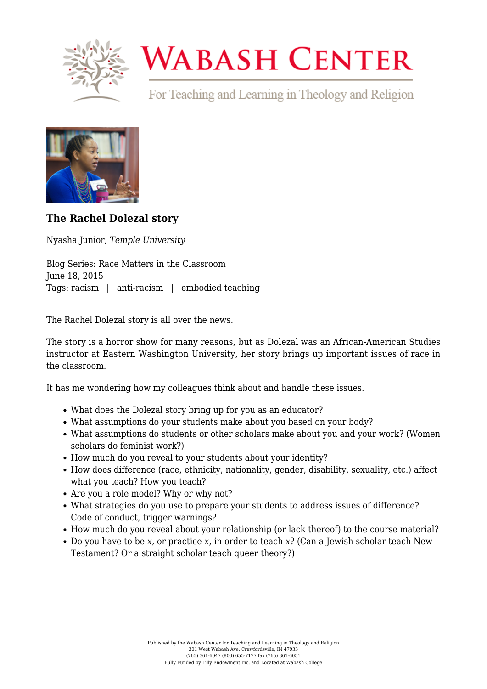

## **WABASH CENTER**

For Teaching and Learning in Theology and Religion



**[The Rachel Dolezal story](https://www.wabashcenter.wabash.edu/2015/06/the-rachel-dolezal-story/)**

Nyasha Junior, *Temple University*

Blog Series: Race Matters in the Classroom June 18, 2015 Tags: racism | anti-racism | embodied teaching

The [Rachel Dolezal](http://www.nytimes.com/2015/06/16/us/rachel-dolezal-quits-naacp-in-spokane.html) story is all over the news.

The story is a horror show for many reasons, but as Dolezal was an African-American Studies instructor at Eastern Washington University, her story brings up important issues of race in the classroom.

It has me wondering how my colleagues think about and handle these issues.

- What does the Dolezal story bring up for you as an educator?
- What assumptions do your students make about you based on your body?
- What assumptions do students or other scholars make about you and your work? (Women scholars do feminist work?)
- How much do you reveal to your students about your identity?
- How does difference (race, ethnicity, nationality, gender, disability, sexuality, etc.) affect what you teach? How you teach?
- Are you a role model? Why or why not?
- What strategies do you use to prepare your students to address issues of difference? Code of conduct, trigger warnings?
- How much do you reveal about your relationship (or lack thereof) to the course material?
- Do you have to be *x,* or practice *x*, in order to teach *x*? (Can a Jewish scholar teach New Testament? Or a straight scholar teach queer theory?)